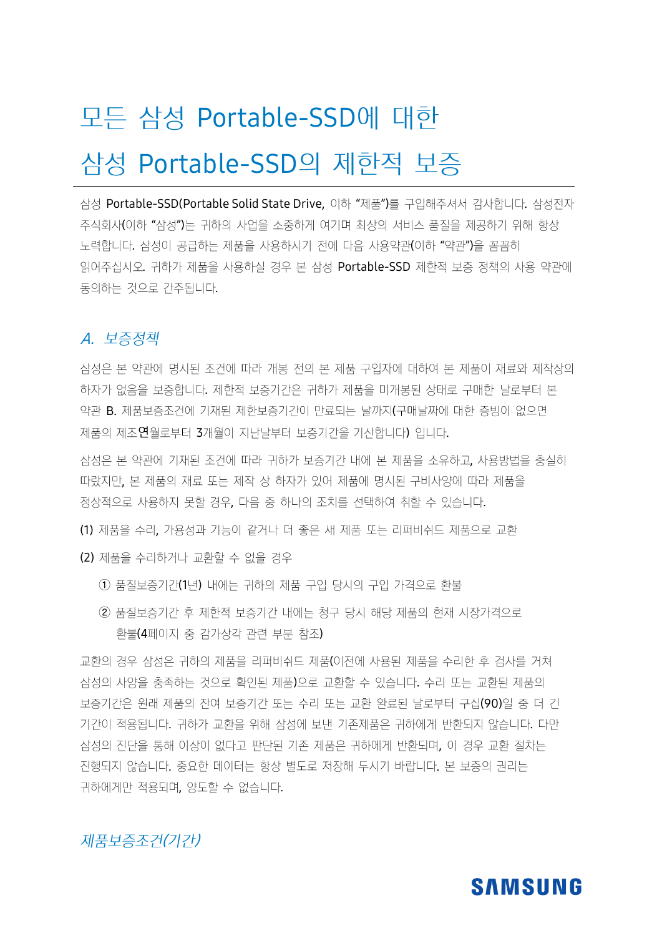# 모든 삼성 Portable-SSD에 대한

## 삼성 Portable-SSD의 제한적 보증

삼성 Portable-SSD(Portable Solid State Drive, 이하 "제품")를 구입해주셔서 감사합니다. 삼성전자 주식회사(이하 "삼성")는 귀하의 사업을 소중하게 여기며 최상의 서비스 품질을 제공하기 위해 항상 '노력합니다. 삼성이 공급하는 제품을 사용하시기 전에 다음 사용약관(이하 "약관")을 꼼꼼히 읽어주십시오. 귀하가 제품을 사용하실 경우 본 삼성 Portable-SSD 제한적 보증 정책의 사용 약관에 동의하는 것으로 간주됩니다.

#### A. 보증정책

삼성은 본 약관에 명시된 조건에 따라 개봉 전의 본 제품 구입자에 대하여 본 제품이 재료와 제작상의 하자가 없음을 보증합니다. 제한적 보증기간은 귀하가 제품을 미개봉된 상태로 구매한 날로부터 본 약관 B. 제품보증조건에 기재된 제한보증기간이 만료되는 날까지(구매날짜에 대한 증빙이 없으면 제품의 제조연월로부터 3개월이 지난날부터 보증기간을 기산합니다) 입니다.

삼성은 본 약관에 기재된 조건에 따라 귀하가 보증기간 내에 본 제품을 소유하고, 사용방법을 충실히 따랐지만, 본 제품의 재료 또는 제작 상 하자가 있어 제품에 명시된 구비사양에 따라 제품을 정상적으로 사용하지 못할 경우, 다음 중 하나의 조치를 선택하여 취할 수 있습니다.

(1) 제품을 수리, 가용성과 기능이 같거나 더 좋은 새 제품 또는 리퍼비쉬드 제품으로 교환

(2) 제품을 수리하거나 교환할 수 없을 경우

- 1 품질보증기간(1년) 내에는 귀하의 제품 구입 당시의 구입 가격으로 환불
- ② 품질보증기간 후 제한적 보증기간 내에는 청구 당시 해당 제품의 현재 시장가격으로 환불(4페이지 중 감가상각 관련 부분 참조)

교환의 경우 삼성은 귀하의 제품을 리퍼비쉬드 제품(이전에 사용된 제품을 수리한 후 검사를 거쳐 삼성의 사양을 충족하는 것으로 확인된 제품)으로 교환할 수 있습니다. 수리 또는 교환된 제품의 보증기간은 원래 제품의 잔여 보증기간 또는 수리 또는 교환 완료된 날로부터 구십(90)일 중 더 긴 기간이 적용됩니다. 귀하가 교환을 위해 삼성에 보낸 기존제품은 귀하에게 반환되지 않습니다. 다만 삼성의 진단을 통해 이상이 없다고 판단된 기존 제품은 귀하에게 반환되며, 이 경우 교환 절차는 진행되지 않습니다. 중요한 데이터는 항상 별도로 저장해 두시기 바랍니다. 본 보증의 권리는 귀하에게만 적용되며, 양도할 수 없습니다.

#### 제품보증조건(기간)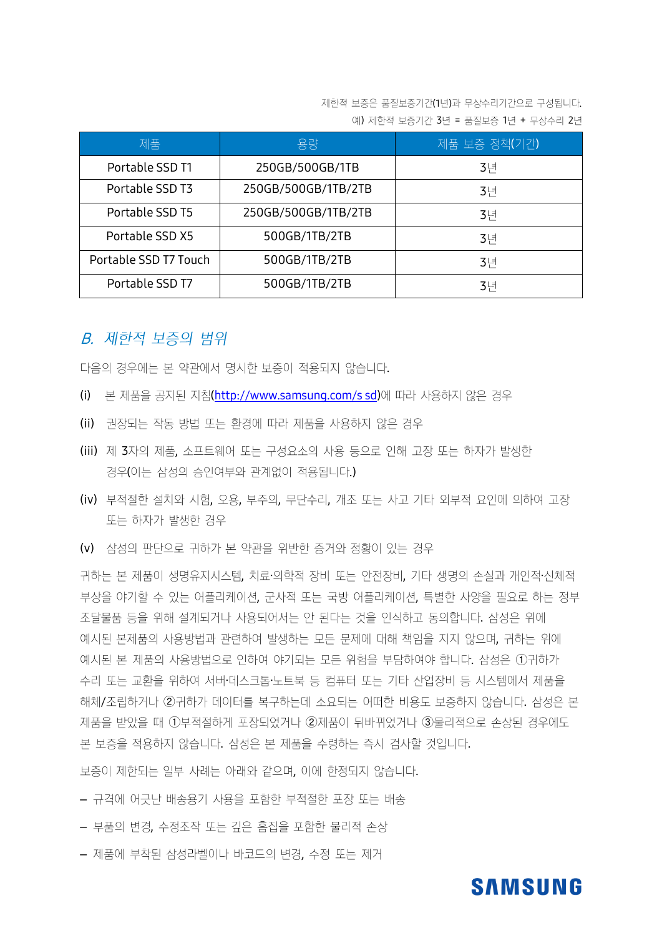제한적 보증은 품질보증기간(1년)과 무상수리기간으로 구성됩니다. 예) 제한적 보증기간 3년 = 품질보증 1년 + 무상수리 2년

| 제품                    | 용량                  | 제품 보증 정책(기간)   |
|-----------------------|---------------------|----------------|
| Portable SSD T1       | 250GB/500GB/1TB     | 3 <sup>1</sup> |
| Portable SSD T3       | 250GB/500GB/1TB/2TB | 3 <sup>1</sup> |
| Portable SSD T5       | 250GB/500GB/1TB/2TB | 3 <sup>1</sup> |
| Portable SSD X5       | 500GB/1TB/2TB       | 3 <sup>1</sup> |
| Portable SSD T7 Touch | 500GB/1TB/2TB       | 3 <sup>1</sup> |
| Portable SSD T7       | 500GB/1TB/2TB       | 3 <sup>H</sup> |

#### **B.** 제한적 보증의 범위

다음의 경우에는 본 약관에서 명시한 보증이 적용되지 않습니다.

- (i) 본 제품을 공지된 지침[\(http://www.samsung.com/s](http://www.samsung.com/s%20sd) sd)에 따라 사용하지 않은 경우
- (ii) 권장되는 작동 방법 또는 환경에 따라 제품을 사용하지 않은 경우
- (iii) 제 3자의 제품, 소프트웨어 또는 구성요소의 사용 등으로 인해 고장 또는 하자가 발생한 경우(이는 삼성의 승인여부와 관계없이 적용됩니다.)
- (iv) 부적절한 설치와 시험, 오용, 부주의, 무단수리, 개조 또는 사고 기타 외부적 요인에 의하여 고장 또는 하자가 발생한 경우
- (v) 삼성의 판단으로 귀하가 본 약관을 위반한 증거와 정황이 있는 경우

, 귀하는 본 제품이 생명유지시스템, 치료·의학적 장비 또는 안전장비, 기타 생명의 손실과 개인적·신체적 부상을 야기할 수 있는 어플리케이션, 군사적 또는 국방 어플리케이션, 특별한 사양을 필요로 하는 정부 조달물품 등을 위해 설계되거나 사용되어서는 안 된다는 것을 인식하고 동의합니다. 삼성은 위에 예시된 본제품의 사용방법과 관련하여 발생하는 모든 문제에 대해 책임을 지지 않으며, 귀하는 위에 예시된 본 제품의 사용방법으로 인하여 야기되는 모든 위험을 부담하여야 합니다. 삼성은 ①귀하가 수리 또는 교환을 위하여 서버·데스크톱·노트북 등 컴퓨터 또는 기타 산업장비 등 시스템에서 제품을 해체/조립하거나 ②귀하가 데이터를 복구하는데 소요되는 어떠한 비용도 보증하지 않습니다. 삼성은 본 제품을 받았을 때 ①부적절하게 포장되었거나 ②제품이 뒤바뀌었거나 ③물리적으로 손상된 경우에도 본 보증을 적용하지 않습니다. 삼성은 본 제품을 수령하는 즉시 검사할 것입니다.

보증이 제한되는 일부 사례는 아래와 같으며, 이에 한정되지 않습니다.

- 규격에 어긋난 배송용기 사용을 포함한 부적절한 포장 또는 배송
- 부품의 변경, 수정조작 또는 깊은 흠집을 포함한 물리적 손상
- 제품에 부착된 삼성라벨이나 바코드의 변경, 수정 또는 제거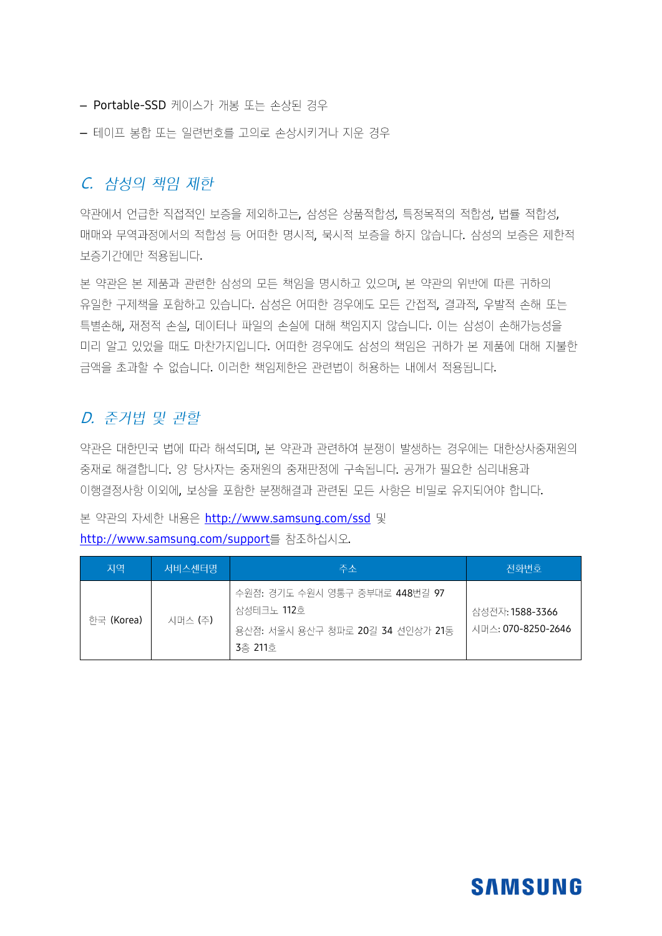- Portable-SSD 케이스가 개봉 또는 손상된 경우
- 테이프 봉합 또는 일련번호를 고의로 손상시키거나 지운 경우

#### C. 삼성의 책임 제한

약관에서 언급한 직접적인 보증을 제외하고는, 삼성은 상품적합성, 특정목적의 적합성, 법률 적합성, 매매와 무역과정에서의 적합성 등 어떠한 명시적, 묵시적 보증을 하지 않습니다. 삼성의 보증은 제한적 보증기간에만 적용됩니다.

본 약관은 본 제품과 관련한 삼성의 모든 책임을 명시하고 있으며, 본 약관의 위반에 따른 귀하의 유일한 구제책을 포함하고 있습니다. 삼성은 어떠한 경우에도 모든 간접적, 결과적, 우발적 손해 또는 특별손해, 재정적 손실, 데이터나 파일의 손실에 대해 책임지지 않습니다. 이는 삼성이 손해가능성을 미리 알고 있었을 때도 마차가지입니다. 어떠한 경우에도 삼성의 책임은 귀하가 본 제품에 대해 지불한 금액을 초과할 수 없습니다. 이러한 책임제한은 관련법이 허용하는 내에서 적용됩니다.

### D. 준거법 및 관할

약관은 대한민국 법에 따라 해석되며, 본 약관과 관련하여 분쟁이 발생하는 경우에는 대한상사중재원의 중재로 해결합니다. 양 당사자는 중재원의 중재판정에 구속됩니다. 공개가 필요한 심리내용과 이행결정사항 이외에, 보상을 포함한 분쟁해결과 관련된 모든 사항은 비밀로 유지되어야 합니다.

본 약관의 자세한 내용은 http://www.samsung.com/ssd 및 http://www.samsung.com/support를 참조하십시오.

| 지역         | <u> 서비스센터명'</u> | 주소                                                                                                  | 전화번호                                  |
|------------|-----------------|-----------------------------------------------------------------------------------------------------|---------------------------------------|
| 한국 (Korea) | 시머스 (주)         | 수원점: 경기도 수원시 영통구 중부대로 448번길 97<br>삼성테크노 <b>112</b> 호<br>용산점: 서울시 용산구 청파로 20길 34 선인상가 21동<br>3층 211호 | 삼성전자: 1588-3366<br>시머스: 070-8250-2646 |